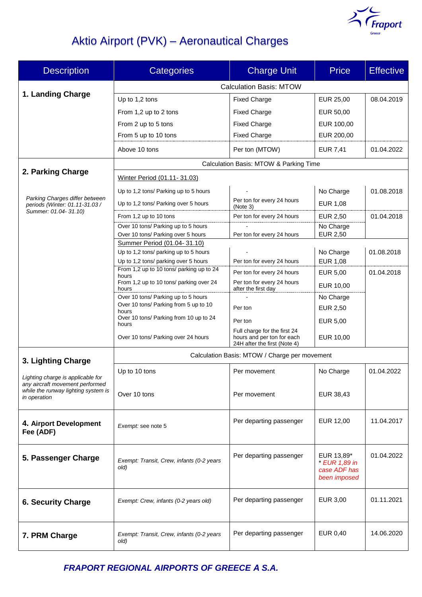

# Aktio Airport (PVK) – Aeronautical Charges

| <b>Description</b>                                                                                                          | Categories                                                        | <b>Charge Unit</b>                                                                         | <b>Price</b>                                                | <b>Effective</b> |  |
|-----------------------------------------------------------------------------------------------------------------------------|-------------------------------------------------------------------|--------------------------------------------------------------------------------------------|-------------------------------------------------------------|------------------|--|
|                                                                                                                             | <b>Calculation Basis: MTOW</b>                                    |                                                                                            |                                                             |                  |  |
| 1. Landing Charge                                                                                                           | Up to 1,2 tons                                                    | <b>Fixed Charge</b>                                                                        | EUR 25,00                                                   | 08.04.2019       |  |
|                                                                                                                             | From 1,2 up to 2 tons                                             | <b>Fixed Charge</b>                                                                        | EUR 50,00                                                   |                  |  |
|                                                                                                                             | From 2 up to 5 tons                                               | <b>Fixed Charge</b>                                                                        | EUR 100,00                                                  |                  |  |
|                                                                                                                             | From 5 up to 10 tons                                              | <b>Fixed Charge</b>                                                                        | EUR 200,00                                                  |                  |  |
|                                                                                                                             | Above 10 tons                                                     | Per ton (MTOW)                                                                             | <b>EUR 7,41</b>                                             | 01.04.2022       |  |
| 2. Parking Charge                                                                                                           | Calculation Basis: MTOW & Parking Time                            |                                                                                            |                                                             |                  |  |
|                                                                                                                             | Winter Period (01.11-31.03)                                       |                                                                                            |                                                             |                  |  |
| Parking Charges differ between<br>periods (Winter: 01.11-31.03 /                                                            | Up to 1,2 tons/ Parking up to 5 hours                             |                                                                                            | No Charge                                                   | 01.08.2018       |  |
|                                                                                                                             | Up to 1,2 tons/ Parking over 5 hours                              | Per ton for every 24 hours<br>(Note 3)                                                     | EUR 1,08                                                    |                  |  |
| Summer: 01.04- 31.10)                                                                                                       | From 1,2 up to 10 tons                                            | Per ton for every 24 hours                                                                 | EUR 2,50                                                    | 01.04.2018       |  |
|                                                                                                                             | Over 10 tons/ Parking up to 5 hours                               |                                                                                            | No Charge                                                   |                  |  |
|                                                                                                                             | Over 10 tons/ Parking over 5 hours<br>Summer Period (01.04-31.10) | Per ton for every 24 hours                                                                 | EUR 2,50                                                    |                  |  |
|                                                                                                                             | Up to 1,2 tons/ parking up to 5 hours                             |                                                                                            | No Charge                                                   | 01.08.2018       |  |
|                                                                                                                             | Up to 1,2 tons/ parking over 5 hours                              | Per ton for every 24 hours                                                                 | EUR 1,08                                                    |                  |  |
|                                                                                                                             | From 1,2 up to 10 tons/ parking up to 24<br>hours                 | Per ton for every 24 hours                                                                 | <b>EUR 5,00</b>                                             | 01.04.2018       |  |
|                                                                                                                             | From 1,2 up to 10 tons/ parking over 24<br>hours                  | Per ton for every 24 hours<br>after the first day                                          | EUR 10,00                                                   |                  |  |
|                                                                                                                             | Over 10 tons/ Parking up to 5 hours                               |                                                                                            | No Charge                                                   |                  |  |
|                                                                                                                             | Over 10 tons/ Parking from 5 up to 10<br>hours                    | Per ton                                                                                    | EUR 2,50                                                    |                  |  |
|                                                                                                                             | Over 10 tons/ Parking from 10 up to 24<br>hours                   | Per ton                                                                                    | EUR 5,00                                                    |                  |  |
|                                                                                                                             | Over 10 tons/ Parking over 24 hours                               | Full charge for the first 24<br>hours and per ton for each<br>24H after the first (Note 4) | EUR 10,00                                                   |                  |  |
| 3. Lighting Charge                                                                                                          | Calculation Basis: MTOW / Charge per movement                     |                                                                                            |                                                             |                  |  |
| Lighting charge is applicable for<br>any aircraft movement performed<br>while the runway lighting system is<br>in operation | Up to 10 tons                                                     | Per movement                                                                               | No Charge                                                   | 01.04.2022       |  |
|                                                                                                                             |                                                                   |                                                                                            |                                                             |                  |  |
|                                                                                                                             | Over 10 tons                                                      | Per movement                                                                               | EUR 38,43                                                   |                  |  |
|                                                                                                                             |                                                                   |                                                                                            |                                                             |                  |  |
| 4. Airport Development<br>Fee (ADF)                                                                                         | Exempt: see note 5                                                | Per departing passenger                                                                    | EUR 12,00                                                   | 11.04.2017       |  |
| 5. Passenger Charge                                                                                                         | Exempt: Transit, Crew, infants (0-2 years<br>old)                 | Per departing passenger                                                                    | EUR 13,89*<br>* EUR 1,89 in<br>case ADF has<br>been imposed | 01.04.2022       |  |
| <b>6. Security Charge</b>                                                                                                   | Exempt: Crew, infants (0-2 years old)                             | Per departing passenger                                                                    | EUR 3,00                                                    | 01.11.2021       |  |
| 7. PRM Charge                                                                                                               | Exempt: Transit, Crew, infants (0-2 years<br>old)                 | Per departing passenger                                                                    | EUR 0,40                                                    | 14.06.2020       |  |

*FRAPORT REGIONAL AIRPORTS OF GREECE Α S.A.*